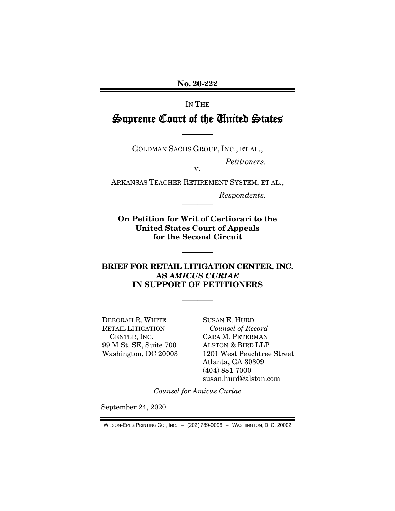No. 20-222

IN THE

# Supreme Court of the United States

GOLDMAN SACHS GROUP, INC., ET AL.,

————

*Petitioners,* 

ARKANSAS TEACHER RETIREMENT SYSTEM, ET AL.,

v.

*Respondents.* 

On Petition for Writ of Certiorari to the United States Court of Appeals for the Second Circuit

————

————

### BRIEF FOR RETAIL LITIGATION CENTER, INC. AS *AMICUS CURIAE* IN SUPPORT OF PETITIONERS

————

DEBORAH R. WHITE RETAIL LITIGATION CENTER, INC. 99 M St. SE, Suite 700 Washington, DC 20003 SUSAN E. HURD *Counsel of Record*  CARA M. PETERMAN ALSTON & BIRD LLP 1201 West Peachtree Street Atlanta, GA 30309 (404) 881-7000 susan.hurd@alston.com

*Counsel for Amicus Curiae* 

September 24, 2020

WILSON-EPES PRINTING CO., INC. – (202) 789-0096 – WASHINGTON, D. C. 20002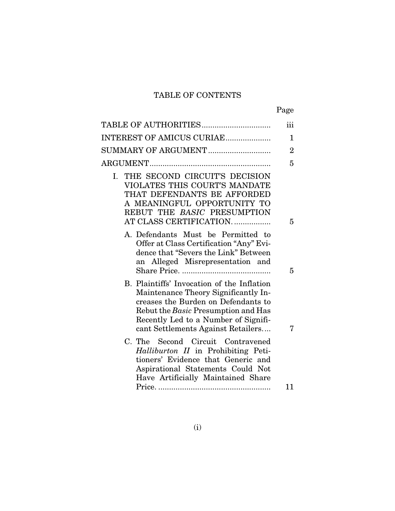# TABLE OF CONTENTS

| ۰, |
|----|
|----|

| TABLE OF AUTHORITIES                                                                                                                                                                                                                           | iii            |
|------------------------------------------------------------------------------------------------------------------------------------------------------------------------------------------------------------------------------------------------|----------------|
| INTEREST OF AMICUS CURIAE                                                                                                                                                                                                                      | 1              |
| SUMMARY OF ARGUMENT                                                                                                                                                                                                                            | $\overline{2}$ |
|                                                                                                                                                                                                                                                | 5              |
| I. THE SECOND CIRCUIT'S DECISION<br>VIOLATES THIS COURT'S MANDATE<br>THAT DEFENDANTS BE AFFORDED<br>A MEANINGFUL OPPORTUNITY TO<br>REBUT THE BASIC PRESUMPTION<br>AT CLASS CERTIFICATION.                                                      | 5              |
| A. Defendants Must be Permitted to<br>Offer at Class Certification "Any" Evi-<br>dence that "Severs the Link" Between<br>an Alleged Misrepresentation and                                                                                      | 5              |
| B. Plaintiffs' Invocation of the Inflation<br>Maintenance Theory Significantly In-<br>creases the Burden on Defendants to<br>Rebut the Basic Presumption and Has<br>Recently Led to a Number of Signifi-<br>cant Settlements Against Retailers | 7              |
| C. The Second Circuit Contravened<br>Halliburton II in Prohibiting Peti-<br>tioners' Evidence that Generic and<br>Aspirational Statements Could Not<br>Have Artificially Maintained Share                                                      |                |
|                                                                                                                                                                                                                                                | 11             |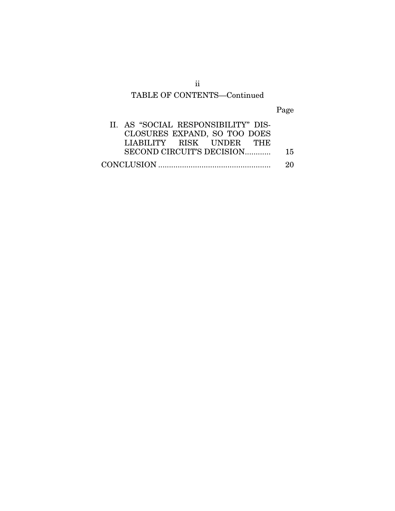# TABLE OF CONTENTS—Continued

Page

| II. AS "SOCIAL RESPONSIBILITY" DIS- |    |
|-------------------------------------|----|
| CLOSURES EXPAND, SO TOO DOES        |    |
| LIABILITY RISK UNDER THE            |    |
| SECOND CIRCUIT'S DECISION           | 15 |
|                                     | 20 |

ii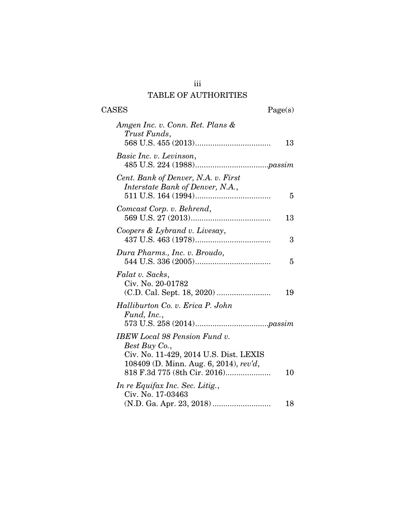## iii TABLE OF AUTHORITIES

# CASES Page(s)

| Amgen Inc. v. Conn. Ret. Plans &<br>Trust Funds,                                                                 |    |
|------------------------------------------------------------------------------------------------------------------|----|
|                                                                                                                  | 13 |
| Basic Inc. v. Levinson,                                                                                          |    |
| Cent. Bank of Denver, N.A. v. First<br>Interstate Bank of Denver, N.A.,                                          | 5  |
| Comcast Corp. v. Behrend,                                                                                        | 13 |
| Coopers & Lybrand v. Livesay,                                                                                    | 3  |
| Dura Pharms., Inc. v. Broudo,                                                                                    | 5  |
| Falat v. Sacks,<br>Civ. No. 20-01782                                                                             | 19 |
| Halliburton Co. v. Erica P. John<br>Fund, Inc.,                                                                  |    |
| <b>IBEW</b> Local 98 Pension Fund v.<br>Best Buy Co.,                                                            |    |
| Civ. No. 11-429, 2014 U.S. Dist. LEXIS<br>108409 (D. Minn. Aug. 6, 2014), rev'd,<br>818 F.3d 775 (8th Cir. 2016) | 10 |
| In re Equifax Inc. Sec. Litig.,<br>Civ. No. 17-03463                                                             |    |
|                                                                                                                  | 18 |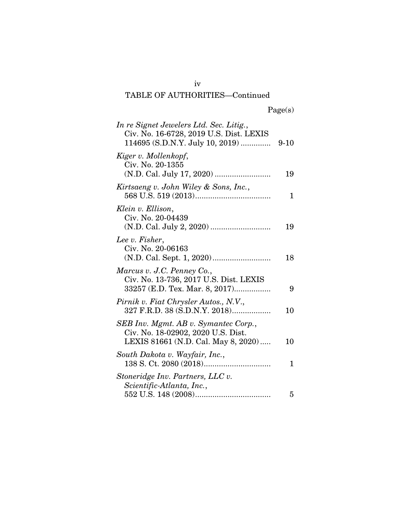| In re Signet Jewelers Ltd. Sec. Litig.,<br>Civ. No. 16-6728, 2019 U.S. Dist. LEXIS                                |    |
|-------------------------------------------------------------------------------------------------------------------|----|
| Kiger v. Mollenkopf,<br>Civ. No. 20-1355                                                                          | 19 |
| Kirtsaeng v. John Wiley & Sons, Inc.,                                                                             | 1  |
| Klein v. Ellison,<br>Civ. No. 20-04439                                                                            | 19 |
| Lee v. Fisher,<br>Civ. No. 20-06163                                                                               | 18 |
| Marcus v. J.C. Penney Co.,<br>Civ. No. 13-736, 2017 U.S. Dist. LEXIS<br>33257 (E.D. Tex. Mar. 8, 2017)            | 9  |
| Pirnik v. Fiat Chrysler Autos., N.V.,<br>327 F.R.D. 38 (S.D.N.Y. 2018)                                            | 10 |
| SEB Inv. Mgmt. AB v. Symantec Corp.,<br>Civ. No. 18-02902, 2020 U.S. Dist.<br>LEXIS 81661 (N.D. Cal. May 8, 2020) | 10 |
| South Dakota v. Wayfair, Inc.,                                                                                    | 1  |
| Stoneridge Inv. Partners, LLC v.<br>Scientific-Atlanta, Inc.,                                                     | 5  |

iv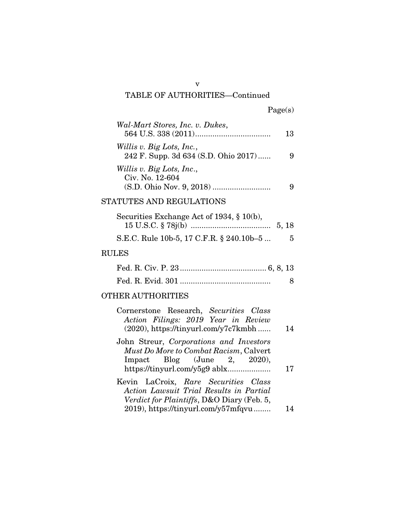| Wal-Mart Stores, Inc. v. Dukes,                                                                                                                        | 13 |
|--------------------------------------------------------------------------------------------------------------------------------------------------------|----|
| Willis v. Big Lots, Inc.,<br>242 F. Supp. 3d 634 (S.D. Ohio 2017)                                                                                      | 9  |
| Willis v. Big Lots, Inc.,<br>Civ. No. 12-604                                                                                                           | 9  |
| STATUTES AND REGULATIONS                                                                                                                               |    |
| Securities Exchange Act of 1934, $\S$ 10(b),                                                                                                           |    |
| S.E.C. Rule 10b-5, 17 C.F.R. § 240.10b-5                                                                                                               | 5  |
| <b>RULES</b>                                                                                                                                           |    |
|                                                                                                                                                        |    |
|                                                                                                                                                        | 8  |
| <b>OTHER AUTHORITIES</b>                                                                                                                               |    |
| Cornerstone Research, Securities Class<br>Action Filings: 2019 Year in Review<br>$(2020)$ , https://tinyurl.com/y7c7kmbh                               | 14 |
| John Streur, Corporations and Investors<br>Must Do More to Combat Racism, Calvert<br>Impact Blog $\mu$ June 2, 2020),<br>https://tinyurl.com/y5g9 ablx | 17 |
| Kevin LaCroix, Rare Securities Class<br>Action Lawsuit Trial Results in Partial<br>Verdict for Plaintiffs, D&O Diary (Feb. 5,                          |    |
| 2019), https://tinyurl.com/y57mfqvu                                                                                                                    | 14 |

v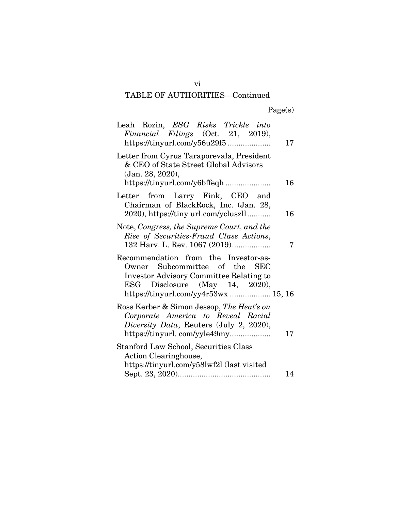| Leah Rozin, ESG Risks Trickle into<br>Financial Filings (Oct. 21, 2019),<br>https://tinyurl.com/y56u29f5                                                                                                      | 17 |
|---------------------------------------------------------------------------------------------------------------------------------------------------------------------------------------------------------------|----|
| Letter from Cyrus Taraporevala, President<br>& CEO of State Street Global Advisors<br>(Jan. 28, 2020),                                                                                                        | 16 |
| Letter from Larry Fink, CEO and<br>Chairman of BlackRock, Inc. (Jan. 28,<br>2020), https://tiny url.com/ycluszll                                                                                              | 16 |
| Note, Congress, the Supreme Court, and the<br>Rise of Securities-Fraud Class Actions,<br>132 Harv. L. Rev. 1067 (2019)                                                                                        | 7  |
| Recommendation from the Investor-as-<br>Owner Subcommittee of the SEC<br><b>Investor Advisory Committee Relating to</b><br>Disclosure (May 14, 2020),<br>$_{\rm{ESG}}$<br>https://tinyurl.com/yy4r53wx 15, 16 |    |
| Ross Kerber & Simon Jessop, The Heat's on<br>Corporate America to Reveal Racial<br>Diversity Data, Reuters (July 2, 2020),                                                                                    | 17 |
| <b>Stanford Law School, Securities Class</b><br>Action Clearinghouse,<br>https://tinyurl.com/y58lwf2l (last visited                                                                                           | 14 |

vi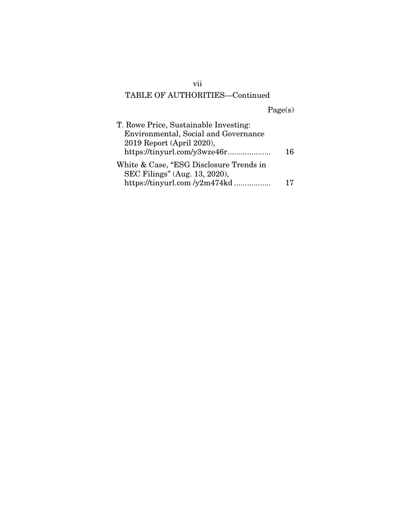Page(s)

| T. Rowe Price, Sustainable Investing:   |    |
|-----------------------------------------|----|
| Environmental, Social and Governance    |    |
| 2019 Report (April 2020),               |    |
|                                         | 16 |
| White & Case, "ESG Disclosure Trends in |    |
| SEC Filings" (Aug. 13, 2020),           |    |
| https://tinyurl.com/y2m474kd            | 17 |
|                                         |    |

vii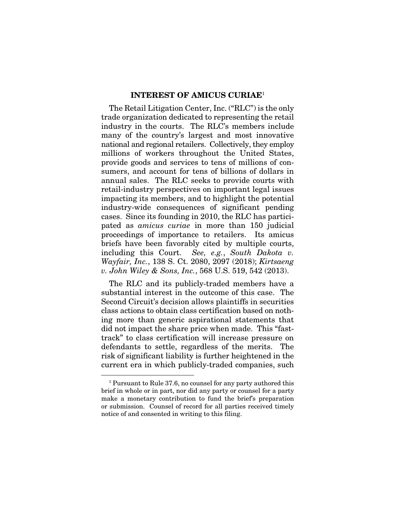#### INTEREST OF AMICUS CURIAE<sup>1</sup>

The Retail Litigation Center, Inc. ("RLC") is the only trade organization dedicated to representing the retail industry in the courts. The RLC's members include many of the country's largest and most innovative national and regional retailers. Collectively, they employ millions of workers throughout the United States, provide goods and services to tens of millions of consumers, and account for tens of billions of dollars in annual sales. The RLC seeks to provide courts with retail-industry perspectives on important legal issues impacting its members, and to highlight the potential industry-wide consequences of significant pending cases. Since its founding in 2010, the RLC has participated as *amicus curiae* in more than 150 judicial proceedings of importance to retailers. Its amicus briefs have been favorably cited by multiple courts, including this Court. *See, e.g.*, *South Dakota v. Wayfair, Inc.*, 138 S. Ct. 2080, 2097 (2018); *Kirtsaeng v. John Wiley & Sons, Inc.*, 568 U.S. 519, 542 (2013).

The RLC and its publicly-traded members have a substantial interest in the outcome of this case. The Second Circuit's decision allows plaintiffs in securities class actions to obtain class certification based on nothing more than generic aspirational statements that did not impact the share price when made. This "fasttrack" to class certification will increase pressure on defendants to settle, regardless of the merits. The risk of significant liability is further heightened in the current era in which publicly-traded companies, such

<sup>1</sup> Pursuant to Rule 37.6, no counsel for any party authored this brief in whole or in part, nor did any party or counsel for a party make a monetary contribution to fund the brief's preparation or submission. Counsel of record for all parties received timely notice of and consented in writing to this filing.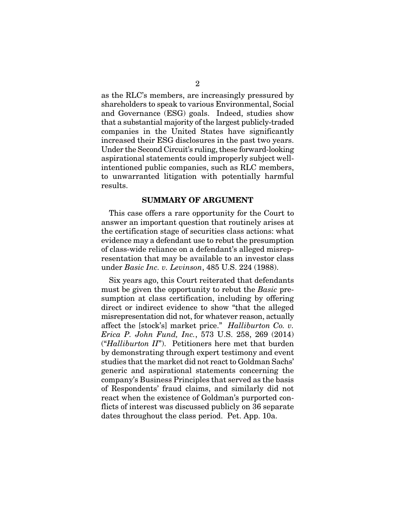as the RLC's members, are increasingly pressured by shareholders to speak to various Environmental, Social and Governance (ESG) goals. Indeed, studies show that a substantial majority of the largest publicly-traded companies in the United States have significantly increased their ESG disclosures in the past two years. Under the Second Circuit's ruling, these forward-looking aspirational statements could improperly subject wellintentioned public companies, such as RLC members, to unwarranted litigation with potentially harmful results.

### SUMMARY OF ARGUMENT

This case offers a rare opportunity for the Court to answer an important question that routinely arises at the certification stage of securities class actions: what evidence may a defendant use to rebut the presumption of class-wide reliance on a defendant's alleged misrepresentation that may be available to an investor class under *Basic Inc. v. Levinson*, 485 U.S. 224 (1988).

Six years ago, this Court reiterated that defendants must be given the opportunity to rebut the *Basic* presumption at class certification, including by offering direct or indirect evidence to show "that the alleged misrepresentation did not, for whatever reason, actually affect the [stock's] market price." *Halliburton Co. v. Erica P. John Fund, Inc.*, 573 U.S. 258, 269 (2014) ("*Halliburton II*"). Petitioners here met that burden by demonstrating through expert testimony and event studies that the market did not react to Goldman Sachs' generic and aspirational statements concerning the company's Business Principles that served as the basis of Respondents' fraud claims, and similarly did not react when the existence of Goldman's purported conflicts of interest was discussed publicly on 36 separate dates throughout the class period. Pet. App. 10a.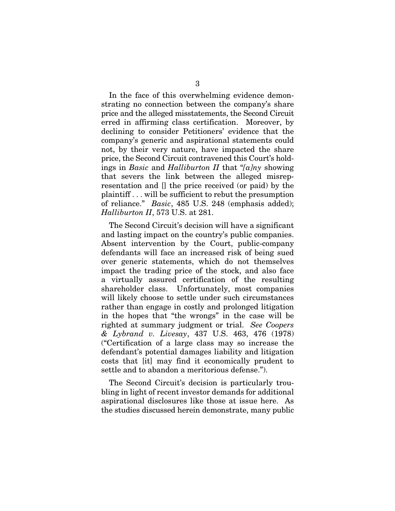In the face of this overwhelming evidence demonstrating no connection between the company's share price and the alleged misstatements, the Second Circuit erred in affirming class certification. Moreover, by declining to consider Petitioners' evidence that the company's generic and aspirational statements could not, by their very nature, have impacted the share price, the Second Circuit contravened this Court's holdings in *Basic* and *Halliburton II* that "*[a]ny* showing that severs the link between the alleged misrepresentation and [] the price received (or paid) by the plaintiff . . . will be sufficient to rebut the presumption of reliance." *Basic*, 485 U.S. 248 (emphasis added); *Halliburton II*, 573 U.S. at 281.

The Second Circuit's decision will have a significant and lasting impact on the country's public companies. Absent intervention by the Court, public-company defendants will face an increased risk of being sued over generic statements, which do not themselves impact the trading price of the stock, and also face a virtually assured certification of the resulting shareholder class. Unfortunately, most companies will likely choose to settle under such circumstances rather than engage in costly and prolonged litigation in the hopes that "the wrongs" in the case will be righted at summary judgment or trial. *See Coopers & Lybrand v. Livesay*, 437 U.S. 463, 476 (1978) ("Certification of a large class may so increase the defendant's potential damages liability and litigation costs that [it] may find it economically prudent to settle and to abandon a meritorious defense.").

The Second Circuit's decision is particularly troubling in light of recent investor demands for additional aspirational disclosures like those at issue here. As the studies discussed herein demonstrate, many public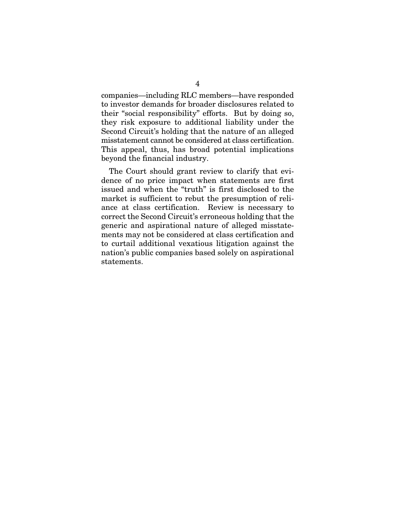companies—including RLC members—have responded to investor demands for broader disclosures related to their "social responsibility" efforts. But by doing so, they risk exposure to additional liability under the Second Circuit's holding that the nature of an alleged misstatement cannot be considered at class certification. This appeal, thus, has broad potential implications beyond the financial industry.

The Court should grant review to clarify that evidence of no price impact when statements are first issued and when the "truth" is first disclosed to the market is sufficient to rebut the presumption of reliance at class certification. Review is necessary to correct the Second Circuit's erroneous holding that the generic and aspirational nature of alleged misstatements may not be considered at class certification and to curtail additional vexatious litigation against the nation's public companies based solely on aspirational statements.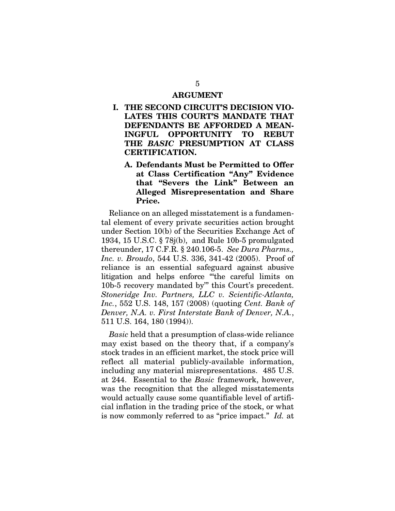#### ARGUMENT

- I. THE SECOND CIRCUIT'S DECISION VIO-LATES THIS COURT'S MANDATE THAT DEFENDANTS BE AFFORDED A MEAN-INGFUL OPPORTUNITY TO REBUT THE *BASIC* PRESUMPTION AT CLASS CERTIFICATION.
	- A. Defendants Must be Permitted to Offer at Class Certification "Any" Evidence that "Severs the Link" Between an Alleged Misrepresentation and Share Price.

Reliance on an alleged misstatement is a fundamental element of every private securities action brought under Section 10(b) of the Securities Exchange Act of 1934, 15 U.S.C. § 78j(b), and Rule 10b-5 promulgated thereunder, 17 C.F.R. § 240.106-5. *See Dura Pharms., Inc. v. Broudo*, 544 U.S. 336, 341-42 (2005). Proof of reliance is an essential safeguard against abusive litigation and helps enforce "'the careful limits on 10b-5 recovery mandated by'" this Court's precedent. *Stoneridge Inv. Partners, LLC v. Scientific-Atlanta, Inc.*, 552 U.S. 148, 157 (2008) (quoting *Cent. Bank of Denver, N.A. v. First Interstate Bank of Denver, N.A.*, 511 U.S. 164, 180 (1994)).

*Basic* held that a presumption of class-wide reliance may exist based on the theory that, if a company's stock trades in an efficient market, the stock price will reflect all material publicly-available information, including any material misrepresentations. 485 U.S. at 244. Essential to the *Basic* framework, however, was the recognition that the alleged misstatements would actually cause some quantifiable level of artificial inflation in the trading price of the stock, or what is now commonly referred to as "price impact." *Id.* at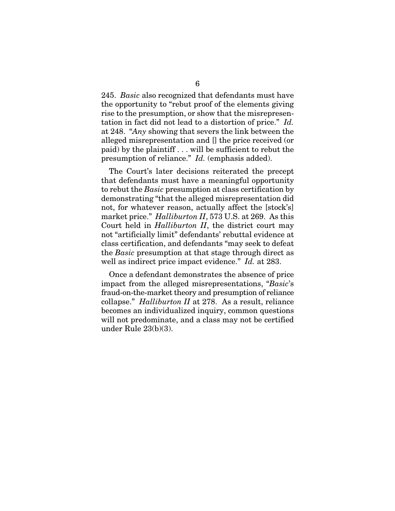245. *Basic* also recognized that defendants must have the opportunity to "rebut proof of the elements giving rise to the presumption, or show that the misrepresentation in fact did not lead to a distortion of price." *Id.* at 248. "*Any* showing that severs the link between the alleged misrepresentation and [] the price received (or paid) by the plaintiff . . . will be sufficient to rebut the presumption of reliance." *Id.* (emphasis added).

The Court's later decisions reiterated the precept that defendants must have a meaningful opportunity to rebut the *Basic* presumption at class certification by demonstrating "that the alleged misrepresentation did not, for whatever reason, actually affect the [stock's] market price." *Halliburton II*, 573 U.S. at 269. As this Court held in *Halliburton II*, the district court may not "artificially limit" defendants' rebuttal evidence at class certification, and defendants "may seek to defeat the *Basic* presumption at that stage through direct as well as indirect price impact evidence." *Id.* at 283.

Once a defendant demonstrates the absence of price impact from the alleged misrepresentations, "*Basic*'s fraud-on-the-market theory and presumption of reliance collapse." *Halliburton II* at 278. As a result, reliance becomes an individualized inquiry, common questions will not predominate, and a class may not be certified under Rule 23(b)(3).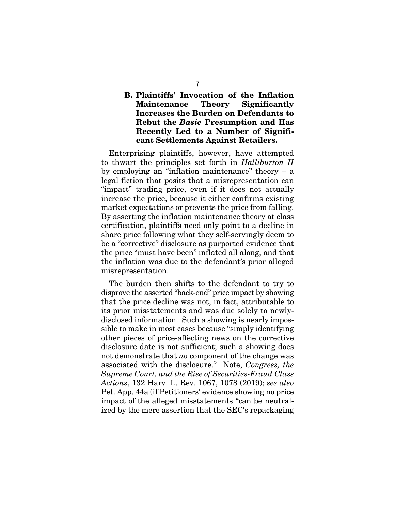## B. Plaintiffs' Invocation of the Inflation Maintenance Theory Significantly Increases the Burden on Defendants to Rebut the *Basic* Presumption and Has Recently Led to a Number of Significant Settlements Against Retailers.

Enterprising plaintiffs, however, have attempted to thwart the principles set forth in *Halliburton II*  by employing an "inflation maintenance" theory – a legal fiction that posits that a misrepresentation can "impact" trading price, even if it does not actually increase the price, because it either confirms existing market expectations or prevents the price from falling. By asserting the inflation maintenance theory at class certification, plaintiffs need only point to a decline in share price following what they self-servingly deem to be a "corrective" disclosure as purported evidence that the price "must have been" inflated all along, and that the inflation was due to the defendant's prior alleged misrepresentation.

The burden then shifts to the defendant to try to disprove the asserted "back-end" price impact by showing that the price decline was not, in fact, attributable to its prior misstatements and was due solely to newlydisclosed information. Such a showing is nearly impossible to make in most cases because "simply identifying other pieces of price-affecting news on the corrective disclosure date is not sufficient; such a showing does not demonstrate that *no* component of the change was associated with the disclosure." Note, *Congress, the Supreme Court, and the Rise of Securities-Fraud Class Actions*, 132 Harv. L. Rev. 1067, 1078 (2019); *see also*  Pet. App. 44a (if Petitioners' evidence showing no price impact of the alleged misstatements "can be neutralized by the mere assertion that the SEC's repackaging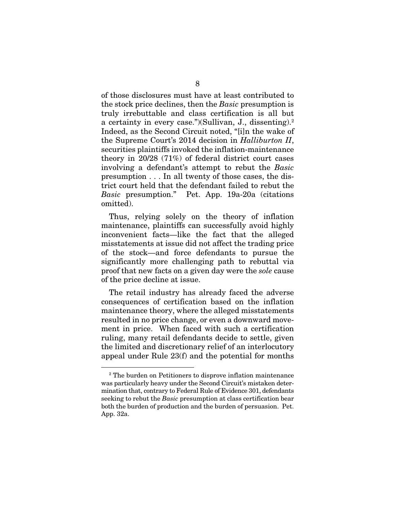of those disclosures must have at least contributed to the stock price declines, then the *Basic* presumption is truly irrebuttable and class certification is all but a certainty in every case.")(Sullivan, J., dissenting).2 Indeed, as the Second Circuit noted, "[i]n the wake of the Supreme Court's 2014 decision in *Halliburton II*, securities plaintiffs invoked the inflation-maintenance theory in 20/28 (71%) of federal district court cases involving a defendant's attempt to rebut the *Basic*  presumption . . . In all twenty of those cases, the district court held that the defendant failed to rebut the *Basic* presumption." Pet. App. 19a-20a (citations omitted).

Thus, relying solely on the theory of inflation maintenance, plaintiffs can successfully avoid highly inconvenient facts—like the fact that the alleged misstatements at issue did not affect the trading price of the stock—and force defendants to pursue the significantly more challenging path to rebuttal via proof that new facts on a given day were the *sole* cause of the price decline at issue.

The retail industry has already faced the adverse consequences of certification based on the inflation maintenance theory, where the alleged misstatements resulted in no price change, or even a downward movement in price. When faced with such a certification ruling, many retail defendants decide to settle, given the limited and discretionary relief of an interlocutory appeal under Rule 23(f) and the potential for months

<sup>&</sup>lt;sup>2</sup> The burden on Petitioners to disprove inflation maintenance was particularly heavy under the Second Circuit's mistaken determination that, contrary to Federal Rule of Evidence 301, defendants seeking to rebut the *Basic* presumption at class certification bear both the burden of production and the burden of persuasion. Pet. App. 32a.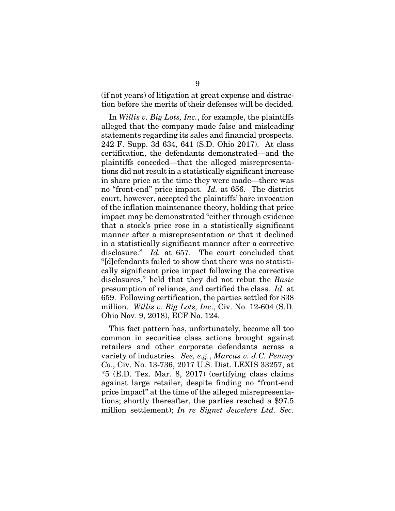(if not years) of litigation at great expense and distraction before the merits of their defenses will be decided.

In *Willis v. Big Lots, Inc.*, for example, the plaintiffs alleged that the company made false and misleading statements regarding its sales and financial prospects. 242 F. Supp. 3d 634, 641 (S.D. Ohio 2017). At class certification, the defendants demonstrated—and the plaintiffs conceded—that the alleged misrepresentations did not result in a statistically significant increase in share price at the time they were made—there was no "front-end" price impact. *Id.* at 656. The district court, however, accepted the plaintiffs' bare invocation of the inflation maintenance theory, holding that price impact may be demonstrated "either through evidence that a stock's price rose in a statistically significant manner after a misrepresentation or that it declined in a statistically significant manner after a corrective disclosure." *Id.* at 657. The court concluded that "[d]efendants failed to show that there was no statistically significant price impact following the corrective disclosures," held that they did not rebut the *Basic*  presumption of reliance, and certified the class. *Id.* at 659. Following certification, the parties settled for \$38 million. *Willis v. Big Lots, Inc*., Civ. No. 12-604 (S.D. Ohio Nov. 9, 2018), ECF No. 124.

This fact pattern has, unfortunately, become all too common in securities class actions brought against retailers and other corporate defendants across a variety of industries. *See, e.g.*, *Marcus v. J.C. Penney Co.*, Civ. No. 13-736, 2017 U.S. Dist. LEXIS 33257, at  $*5$  (E.D. Tex. Mar. 8, 2017) (certifying class claims against large retailer, despite finding no "front-end price impact" at the time of the alleged misrepresentations; shortly thereafter, the parties reached a \$97.5 million settlement); *In re Signet Jewelers Ltd. Sec.*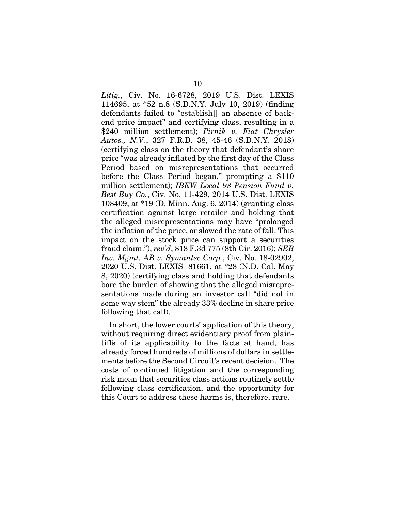*Litig.*, Civ. No. 16-6728, 2019 U.S. Dist. LEXIS 114695, at \*52 n.8 (S.D.N.Y. July 10, 2019) (finding defendants failed to "establish[] an absence of backend price impact" and certifying class, resulting in a \$240 million settlement); *Pirnik v. Fiat Chrysler Autos., N.V*., 327 F.R.D. 38, 45-46 (S.D.N.Y. 2018) (certifying class on the theory that defendant's share price "was already inflated by the first day of the Class Period based on misrepresentations that occurred before the Class Period began," prompting a \$110 million settlement); *IBEW Local 98 Pension Fund v. Best Buy Co.*, Civ. No. 11-429, 2014 U.S. Dist. LEXIS 108409, at \*19 (D. Minn. Aug. 6, 2014) (granting class certification against large retailer and holding that the alleged misrepresentations may have "prolonged the inflation of the price, or slowed the rate of fall. This impact on the stock price can support a securities fraud claim."), *rev'd*, 818 F.3d 775 (8th Cir. 2016); *SEB Inv. Mgmt. AB v. Symantec Corp.*, Civ. No. 18-02902, 2020 U.S. Dist. LEXIS 81661, at \*28 (N.D. Cal. May 8, 2020) (certifying class and holding that defendants bore the burden of showing that the alleged misrepresentations made during an investor call "did not in some way stem" the already 33% decline in share price following that call).

In short, the lower courts' application of this theory, without requiring direct evidentiary proof from plaintiffs of its applicability to the facts at hand, has already forced hundreds of millions of dollars in settlements before the Second Circuit's recent decision. The costs of continued litigation and the corresponding risk mean that securities class actions routinely settle following class certification, and the opportunity for this Court to address these harms is, therefore, rare.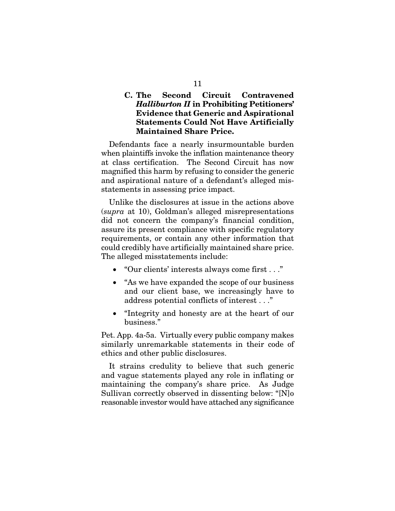## C. The Second Circuit Contravened *Halliburton II* in Prohibiting Petitioners' Evidence that Generic and Aspirational Statements Could Not Have Artificially Maintained Share Price.

Defendants face a nearly insurmountable burden when plaintiffs invoke the inflation maintenance theory at class certification. The Second Circuit has now magnified this harm by refusing to consider the generic and aspirational nature of a defendant's alleged misstatements in assessing price impact.

Unlike the disclosures at issue in the actions above (*supra* at 10), Goldman's alleged misrepresentations did not concern the company's financial condition, assure its present compliance with specific regulatory requirements, or contain any other information that could credibly have artificially maintained share price. The alleged misstatements include:

- "Our clients' interests always come first . . ."
- "As we have expanded the scope of our business" and our client base, we increasingly have to address potential conflicts of interest . . ."
- "Integrity and honesty are at the heart of our business."

Pet. App. 4a-5a. Virtually every public company makes similarly unremarkable statements in their code of ethics and other public disclosures.

It strains credulity to believe that such generic and vague statements played any role in inflating or maintaining the company's share price. As Judge Sullivan correctly observed in dissenting below: "[N]o reasonable investor would have attached any significance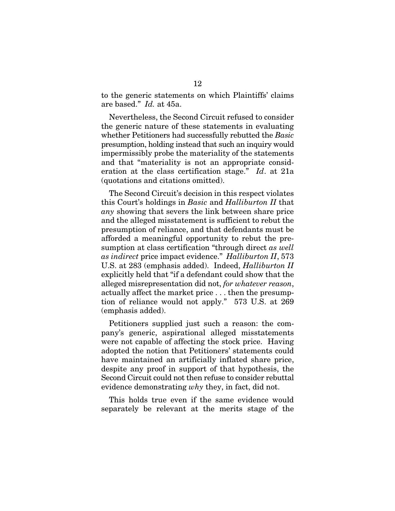to the generic statements on which Plaintiffs' claims are based." *Id.* at 45a.

Nevertheless, the Second Circuit refused to consider the generic nature of these statements in evaluating whether Petitioners had successfully rebutted the *Basic* presumption, holding instead that such an inquiry would impermissibly probe the materiality of the statements and that "materiality is not an appropriate consideration at the class certification stage." *Id*. at 21a (quotations and citations omitted).

The Second Circuit's decision in this respect violates this Court's holdings in *Basic* and *Halliburton II* that *any* showing that severs the link between share price and the alleged misstatement is sufficient to rebut the presumption of reliance, and that defendants must be afforded a meaningful opportunity to rebut the presumption at class certification "through direct *as well as indirect* price impact evidence." *Halliburton II*, 573 U.S. at 283 (emphasis added). Indeed, *Halliburton II* explicitly held that "if a defendant could show that the alleged misrepresentation did not, *for whatever reason*, actually affect the market price . . . then the presumption of reliance would not apply." 573 U.S. at 269 (emphasis added).

Petitioners supplied just such a reason: the company's generic, aspirational alleged misstatements were not capable of affecting the stock price. Having adopted the notion that Petitioners' statements could have maintained an artificially inflated share price, despite any proof in support of that hypothesis, the Second Circuit could not then refuse to consider rebuttal evidence demonstrating *why* they, in fact, did not.

This holds true even if the same evidence would separately be relevant at the merits stage of the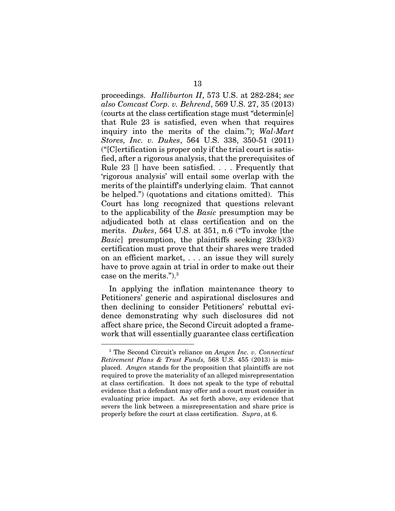proceedings. *Halliburton II*, 573 U.S. at 282-284; *see also Comcast Corp. v. Behrend*, 569 U.S. 27, 35 (2013) (courts at the class certification stage must "determin[e] that Rule 23 is satisfied, even when that requires inquiry into the merits of the claim."); *Wal-Mart Stores, Inc. v. Dukes*, 564 U.S. 338, 350-51 (2011) ("[C]ertification is proper only if the trial court is satisfied, after a rigorous analysis, that the prerequisites of Rule 23 [] have been satisfied. . . . Frequently that 'rigorous analysis' will entail some overlap with the merits of the plaintiff's underlying claim. That cannot be helped.") (quotations and citations omitted). This Court has long recognized that questions relevant to the applicability of the *Basic* presumption may be adjudicated both at class certification and on the merits. *Dukes*, 564 U.S. at 351, n.6 ("To invoke [the *Basic*] presumption, the plaintiffs seeking 23(b)(3) certification must prove that their shares were traded on an efficient market, . . . an issue they will surely have to prove again at trial in order to make out their case on the merits.").3

In applying the inflation maintenance theory to Petitioners' generic and aspirational disclosures and then declining to consider Petitioners' rebuttal evidence demonstrating why such disclosures did not affect share price, the Second Circuit adopted a framework that will essentially guarantee class certification

<sup>3</sup> The Second Circuit's reliance on *Amgen Inc. v. Connecticut Retirement Plans & Trust Funds,* 568 U.S. 455 (2013) is misplaced. *Amgen* stands for the proposition that plaintiffs are not required to prove the materiality of an alleged misrepresentation at class certification. It does not speak to the type of rebuttal evidence that a defendant may offer and a court must consider in evaluating price impact. As set forth above, *any* evidence that severs the link between a misrepresentation and share price is properly before the court at class certification. *Supra*, at 6.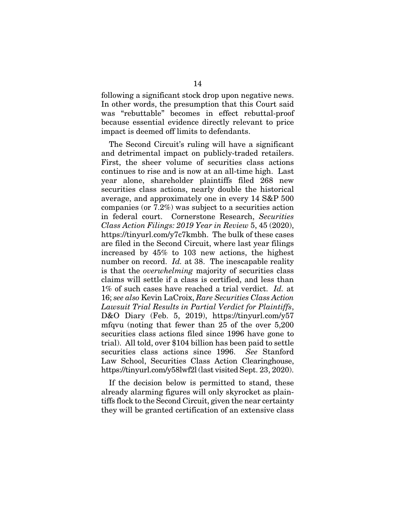following a significant stock drop upon negative news. In other words, the presumption that this Court said was "rebuttable" becomes in effect rebuttal-proof because essential evidence directly relevant to price impact is deemed off limits to defendants.

The Second Circuit's ruling will have a significant and detrimental impact on publicly-traded retailers. First, the sheer volume of securities class actions continues to rise and is now at an all-time high. Last year alone, shareholder plaintiffs filed 268 new securities class actions, nearly double the historical average, and approximately one in every 14 S&P 500 companies (or 7.2%) was subject to a securities action in federal court. Cornerstone Research, *Securities Class Action Filings: 2019 Year in Review* 5, 45 (2020), https://tinyurl.com/y7c7kmbh. The bulk of these cases are filed in the Second Circuit, where last year filings increased by 45% to 103 new actions, the highest number on record. *Id.* at 38. The inescapable reality is that the *overwhelming* majority of securities class claims will settle if a class is certified, and less than 1% of such cases have reached a trial verdict. *Id.* at 16; *see also* Kevin LaCroix, *Rare Securities Class Action Lawsuit Trial Results in Partial Verdict for Plaintiffs*, D&O Diary (Feb. 5, 2019), https://tinyurl.com/y57 mfqvu (noting that fewer than 25 of the over 5,200 securities class actions filed since 1996 have gone to trial). All told, over \$104 billion has been paid to settle securities class actions since 1996. *See* Stanford Law School, Securities Class Action Clearinghouse, https://tinyurl.com/y58lwf2l (last visited Sept. 23, 2020).

If the decision below is permitted to stand, these already alarming figures will only skyrocket as plaintiffs flock to the Second Circuit, given the near certainty they will be granted certification of an extensive class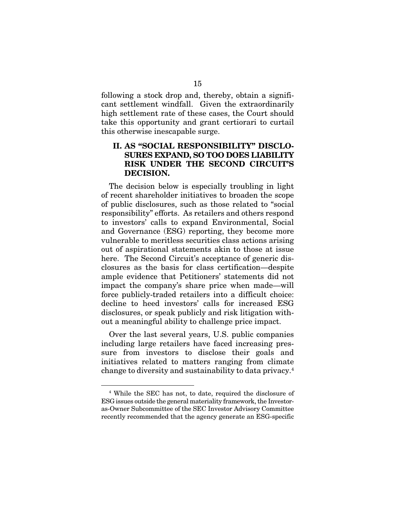following a stock drop and, thereby, obtain a significant settlement windfall. Given the extraordinarily high settlement rate of these cases, the Court should take this opportunity and grant certiorari to curtail this otherwise inescapable surge.

## II. AS "SOCIAL RESPONSIBILITY" DISCLO-SURES EXPAND, SO TOO DOES LIABILITY RISK UNDER THE SECOND CIRCUIT'S DECISION.

The decision below is especially troubling in light of recent shareholder initiatives to broaden the scope of public disclosures, such as those related to "social responsibility" efforts. As retailers and others respond to investors' calls to expand Environmental, Social and Governance (ESG) reporting, they become more vulnerable to meritless securities class actions arising out of aspirational statements akin to those at issue here. The Second Circuit's acceptance of generic disclosures as the basis for class certification—despite ample evidence that Petitioners' statements did not impact the company's share price when made—will force publicly-traded retailers into a difficult choice: decline to heed investors' calls for increased ESG disclosures, or speak publicly and risk litigation without a meaningful ability to challenge price impact.

Over the last several years, U.S. public companies including large retailers have faced increasing pressure from investors to disclose their goals and initiatives related to matters ranging from climate change to diversity and sustainability to data privacy.4

<sup>4</sup> While the SEC has not, to date, required the disclosure of ESG issues outside the general materiality framework, the Investoras-Owner Subcommittee of the SEC Investor Advisory Committee recently recommended that the agency generate an ESG-specific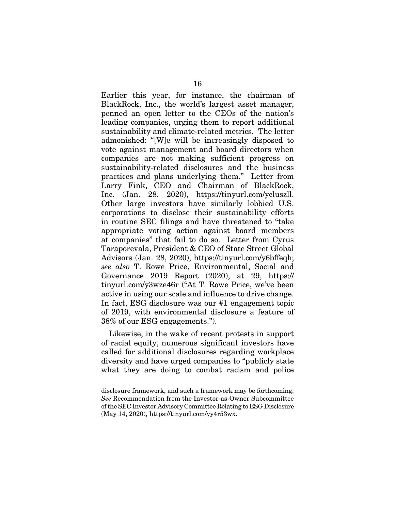Earlier this year, for instance, the chairman of BlackRock, Inc., the world's largest asset manager, penned an open letter to the CEOs of the nation's leading companies, urging them to report additional sustainability and climate-related metrics. The letter admonished: "[W]e will be increasingly disposed to vote against management and board directors when companies are not making sufficient progress on sustainability-related disclosures and the business practices and plans underlying them." Letter from Larry Fink, CEO and Chairman of BlackRock, Inc. (Jan. 28, 2020), https://tinyurl.com/ycluszll. Other large investors have similarly lobbied U.S. corporations to disclose their sustainability efforts in routine SEC filings and have threatened to "take appropriate voting action against board members at companies" that fail to do so. Letter from Cyrus Taraporevala, President & CEO of State Street Global Advisors (Jan. 28, 2020), https://tinyurl.com/y6bffeqh; *see also* T. Rowe Price, Environmental, Social and Governance 2019 Report (2020), at 29, https:// tinyurl.com/y3wze46r ("At T. Rowe Price, we've been active in using our scale and influence to drive change. In fact, ESG disclosure was our #1 engagement topic of 2019, with environmental disclosure a feature of 38% of our ESG engagements.").

Likewise, in the wake of recent protests in support of racial equity, numerous significant investors have called for additional disclosures regarding workplace diversity and have urged companies to "publicly state what they are doing to combat racism and police

disclosure framework, and such a framework may be forthcoming. *See* Recommendation from the Investor-as-Owner Subcommittee of the SEC Investor Advisory Committee Relating to ESG Disclosure (May 14, 2020), https://tinyurl.com/yy4r53wx.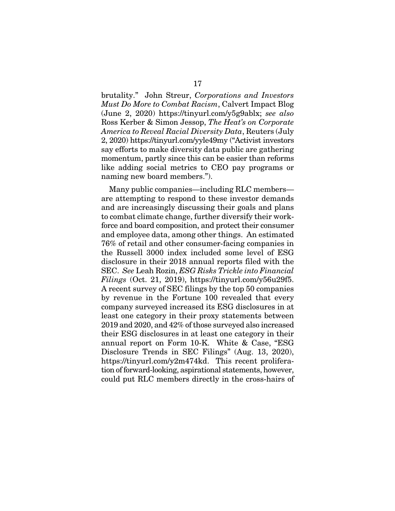brutality." John Streur, *Corporations and Investors Must Do More to Combat Racism*, Calvert Impact Blog (June 2, 2020) https://tinyurl.com/y5g9ablx; *see also*  Ross Kerber & Simon Jessop, *The Heat's on Corporate America to Reveal Racial Diversity Data*, Reuters (July 2, 2020) https://tinyurl.com/yyle49my ("Activist investors say efforts to make diversity data public are gathering momentum, partly since this can be easier than reforms like adding social metrics to CEO pay programs or naming new board members.").

Many public companies—including RLC members are attempting to respond to these investor demands and are increasingly discussing their goals and plans to combat climate change, further diversify their workforce and board composition, and protect their consumer and employee data, among other things. An estimated 76% of retail and other consumer-facing companies in the Russell 3000 index included some level of ESG disclosure in their 2018 annual reports filed with the SEC. *See* Leah Rozin, *ESG Risks Trickle into Financial Filings* (Oct. 21, 2019), https://tinyurl.com/y56u29f5. A recent survey of SEC filings by the top 50 companies by revenue in the Fortune 100 revealed that every company surveyed increased its ESG disclosures in at least one category in their proxy statements between 2019 and 2020, and 42% of those surveyed also increased their ESG disclosures in at least one category in their annual report on Form 10-K. White & Case, "ESG Disclosure Trends in SEC Filings" (Aug. 13, 2020), https://tinyurl.com/y2m474kd. This recent proliferation of forward-looking, aspirational statements, however, could put RLC members directly in the cross-hairs of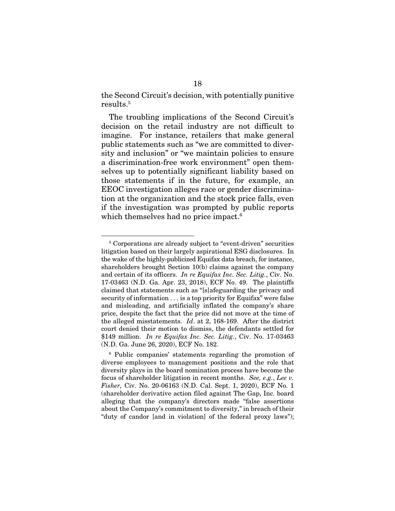the Second Circuit's decision, with potentially punitive results.5

The troubling implications of the Second Circuit's decision on the retail industry are not difficult to imagine. For instance, retailers that make general public statements such as "we are committed to diversity and inclusion" or "we maintain policies to ensure a discrimination-free work environment" open themselves up to potentially significant liability based on those statements if in the future, for example, an EEOC investigation alleges race or gender discrimination at the organization and the stock price falls, even if the investigation was prompted by public reports which themselves had no price impact.<sup>6</sup>

<sup>&</sup>lt;sup>5</sup> Corporations are already subject to "event-driven" securities litigation based on their largely aspirational ESG disclosures. In the wake of the highly-publicized Equifax data breach, for instance, shareholders brought Section 10(b) claims against the company and certain of its officers. *In re Equifax Inc. Sec. Litig.*, Civ. No. 17-03463 (N.D. Ga. Apr. 23, 2018), ECF No. 49. The plaintiffs claimed that statements such as "[s]afeguarding the privacy and security of information . . . is a top priority for Equifax" were false and misleading, and artificially inflated the company's share price, despite the fact that the price did not move at the time of the alleged misstatements. *Id*. at 2, 168-169. After the district court denied their motion to dismiss, the defendants settled for \$149 million. *In re Equifax Inc. Sec. Litig.*, Civ. No. 17-03463 (N.D. Ga. June 26, 2020), ECF No. 182.

<sup>6</sup> Public companies' statements regarding the promotion of diverse employees to management positions and the role that diversity plays in the board nomination process have become the focus of shareholder litigation in recent months. *See, e.g.*, *Lee v. Fisher,* Civ. No. 20-06163 (N.D. Cal. Sept. 1, 2020), ECF No. 1 (shareholder derivative action filed against The Gap, Inc. board alleging that the company's directors made "false assertions about the Company's commitment to diversity," in breach of their "duty of candor [and in violation] of the federal proxy laws");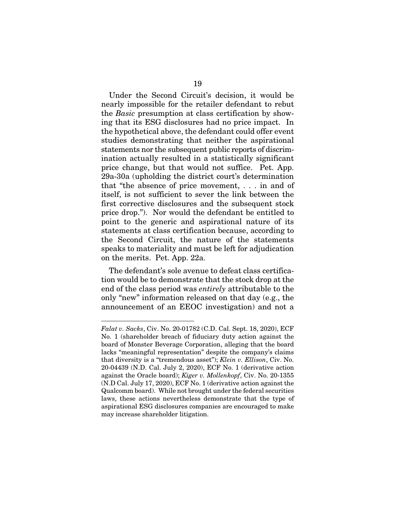Under the Second Circuit's decision, it would be nearly impossible for the retailer defendant to rebut the *Basic* presumption at class certification by showing that its ESG disclosures had no price impact. In the hypothetical above, the defendant could offer event studies demonstrating that neither the aspirational statements nor the subsequent public reports of discrimination actually resulted in a statistically significant price change, but that would not suffice. Pet. App. 29a-30a (upholding the district court's determination that "the absence of price movement, . . . in and of itself, is not sufficient to sever the link between the first corrective disclosures and the subsequent stock price drop."). Nor would the defendant be entitled to point to the generic and aspirational nature of its statements at class certification because, according to the Second Circuit, the nature of the statements speaks to materiality and must be left for adjudication on the merits. Pet. App. 22a.

The defendant's sole avenue to defeat class certification would be to demonstrate that the stock drop at the end of the class period was *entirely* attributable to the only "new" information released on that day (e.g., the announcement of an EEOC investigation) and not a

*Falat v. Sacks*, Civ. No. 20-01782 (C.D. Cal. Sept. 18, 2020), ECF No. 1 (shareholder breach of fiduciary duty action against the board of Monster Beverage Corporation, alleging that the board lacks "meaningful representation" despite the company's claims that diversity is a "tremendous asset"); *Klein v. Ellison*, Civ. No. 20-04439 (N.D. Cal. July 2, 2020), ECF No. 1 (derivative action against the Oracle board); *Kiger v. Mollenkopf*, Civ. No. 20-1355 (N.D Cal. July 17, 2020), ECF No. 1 (derivative action against the Qualcomm board). While not brought under the federal securities laws, these actions nevertheless demonstrate that the type of aspirational ESG disclosures companies are encouraged to make may increase shareholder litigation.